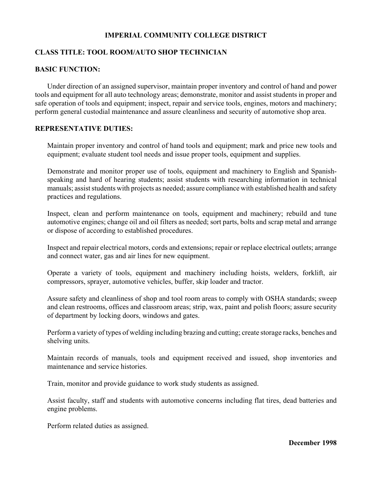# **IMPERIAL COMMUNITY COLLEGE DISTRICT**

## **CLASS TITLE: TOOL ROOM/AUTO SHOP TECHNICIAN**

#### **BASIC FUNCTION:**

Under direction of an assigned supervisor, maintain proper inventory and control of hand and power tools and equipment for all auto technology areas; demonstrate, monitor and assist students in proper and safe operation of tools and equipment; inspect, repair and service tools, engines, motors and machinery; perform general custodial maintenance and assure cleanliness and security of automotive shop area.

# **REPRESENTATIVE DUTIES:**

Maintain proper inventory and control of hand tools and equipment; mark and price new tools and equipment; evaluate student tool needs and issue proper tools, equipment and supplies.

Demonstrate and monitor proper use of tools, equipment and machinery to English and Spanishspeaking and hard of hearing students; assist students with researching information in technical manuals; assist students with projects as needed; assure compliance with established health and safety practices and regulations.

Inspect, clean and perform maintenance on tools, equipment and machinery; rebuild and tune automotive engines; change oil and oil filters as needed; sort parts, bolts and scrap metal and arrange or dispose of according to established procedures.

Inspect and repair electrical motors, cords and extensions; repair or replace electrical outlets; arrange and connect water, gas and air lines for new equipment.

Operate a variety of tools, equipment and machinery including hoists, welders, forklift, air compressors, sprayer, automotive vehicles, buffer, skip loader and tractor.

Assure safety and cleanliness of shop and tool room areas to comply with OSHA standards; sweep and clean restrooms, offices and classroom areas; strip, wax, paint and polish floors; assure security of department by locking doors, windows and gates.

Perform a variety of types of welding including brazing and cutting; create storage racks, benches and shelving units.

Maintain records of manuals, tools and equipment received and issued, shop inventories and maintenance and service histories.

Train, monitor and provide guidance to work study students as assigned.

Assist faculty, staff and students with automotive concerns including flat tires, dead batteries and engine problems.

Perform related duties as assigned.